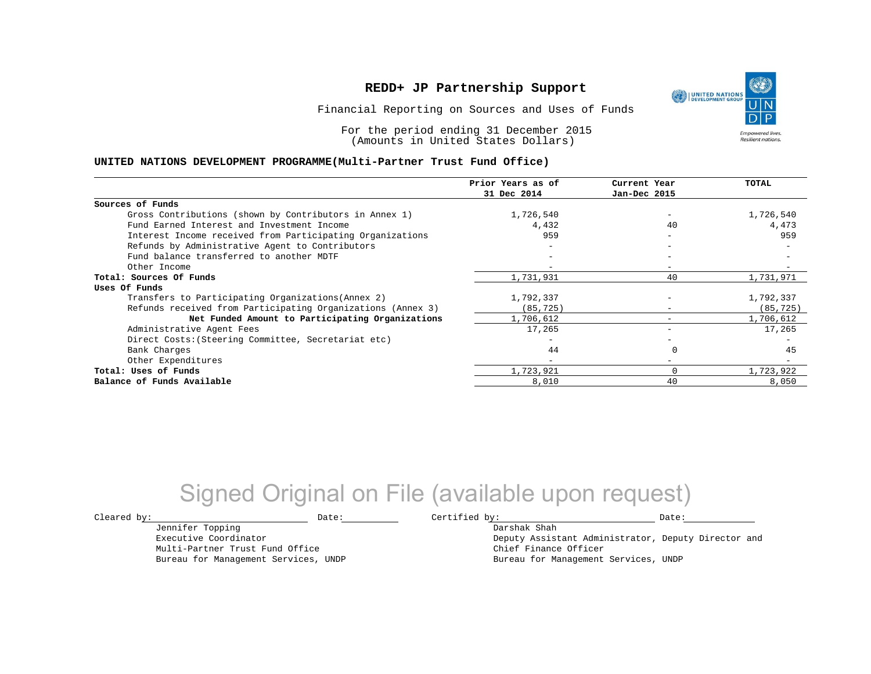Financial Reporting on Sources and Uses of Funds

For the period ending 31 December 2015 (Amounts in United States Dollars)

#### **UNITED NATIONS DEVELOPMENT PROGRAMME(Multi-Partner Trust Fund Office)**

|                                                             | Prior Years as of | Current Year             | <b>TOTAL</b> |
|-------------------------------------------------------------|-------------------|--------------------------|--------------|
|                                                             | 31 Dec 2014       | Jan-Dec 2015             |              |
| Sources of Funds                                            |                   |                          |              |
| Gross Contributions (shown by Contributors in Annex 1)      | 1,726,540         |                          | 1,726,540    |
| Fund Earned Interest and Investment Income                  | 4,432             | 40                       | 4,473        |
| Interest Income received from Participating Organizations   | 959               | $\overline{\phantom{0}}$ | 959          |
| Refunds by Administrative Agent to Contributors             |                   | $\overline{\phantom{0}}$ |              |
| Fund balance transferred to another MDTF                    |                   |                          |              |
| Other Income                                                |                   |                          |              |
| Total: Sources Of Funds                                     | 1,731,931         | 40                       | 1,731,971    |
| Uses Of Funds                                               |                   |                          |              |
| Transfers to Participating Organizations (Annex 2)          | 1,792,337         |                          | 1,792,337    |
| Refunds received from Participating Organizations (Annex 3) | (85,725)          | $\overline{\phantom{0}}$ | (85, 725)    |
| Net Funded Amount to Participating Organizations            | 1,706,612         |                          | 1,706,612    |
| Administrative Agent Fees                                   | 17,265            | $-$                      | 17,265       |
| Direct Costs: (Steering Committee, Secretariat etc)         |                   |                          |              |
| Bank Charges                                                | 44                |                          | 45           |
| Other Expenditures                                          |                   | $\overline{\phantom{0}}$ |              |
| Total: Uses of Funds                                        | 1,723,921         | O                        | 1,723,922    |
| Balance of Funds Available                                  | 8,010             | 40                       | 8,050        |

## Signed Original on File (available upon request)

Jennifer Topping Executive Coordinator Multi-Partner Trust Fund Office Bureau for Management Services, UNDP

 $\texttt{Cleared by:}\footnotesize \begin{minipage}{0.9\linewidth} \texttt{Date:}\footnotesize \begin{minipage}{0.9\linewidth} \texttt{Date:}\footnotesize \begin{minipage}{0.9\linewidth} \end{minipage} \end{minipage}$ 

Darshak Shah Deputy Assistant Administrator, Deputy Director and Chief Finance Officer Bureau for Management Services, UNDP

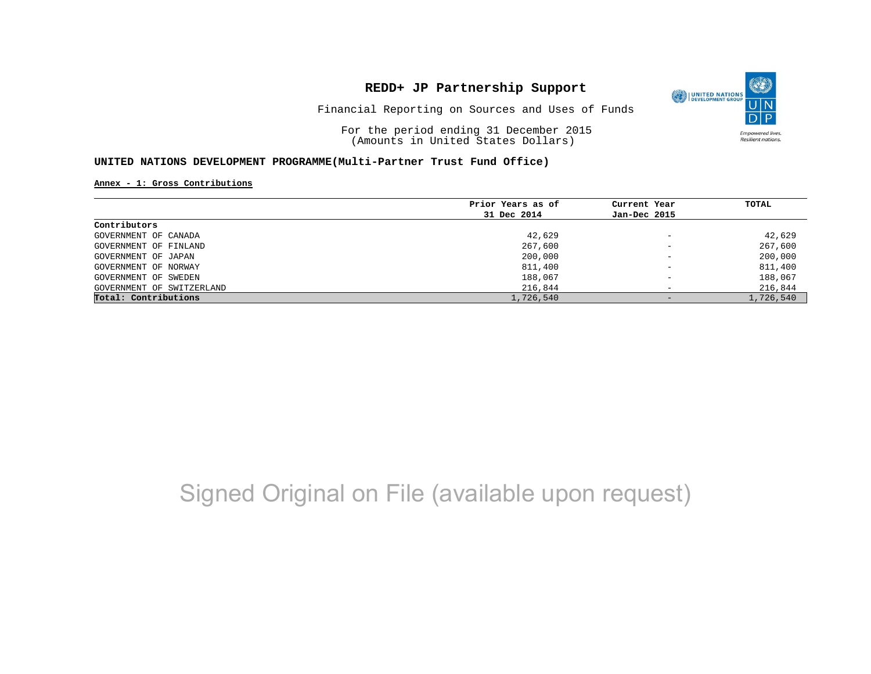

Financial Reporting on Sources and Uses of Funds

For the period ending 31 December 2015 (Amounts in United States Dollars)

#### **UNITED NATIONS DEVELOPMENT PROGRAMME(Multi-Partner Trust Fund Office)**

**Annex - 1: Gross Contributions**

|                           | Prior Years as of | Current Year             | TOTAL     |
|---------------------------|-------------------|--------------------------|-----------|
|                           | 31 Dec 2014       | Jan-Dec 2015             |           |
| Contributors              |                   |                          |           |
| GOVERNMENT OF CANADA      | 42,629            | $\qquad \qquad -$        | 42,629    |
| GOVERNMENT OF FINLAND     | 267,600           | $\overline{\phantom{0}}$ | 267,600   |
| GOVERNMENT OF JAPAN       | 200,000           | $\overline{\phantom{a}}$ | 200,000   |
| GOVERNMENT OF NORWAY      | 811,400           | $\qquad \qquad -$        | 811,400   |
| GOVERNMENT OF SWEDEN      | 188,067           | $\qquad \qquad -$        | 188,067   |
| GOVERNMENT OF SWITZERLAND | 216,844           | $\overline{\phantom{0}}$ | 216,844   |
| Total: Contributions      | 1,726,540         |                          | 1,726,540 |

# Signed Original on File (available upon request)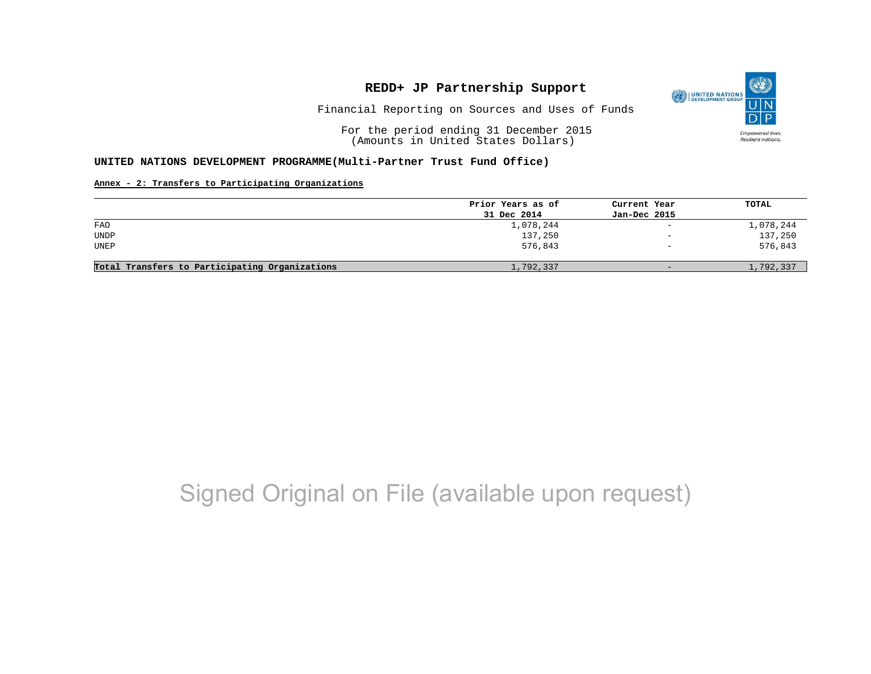

Financial Reporting on Sources and Uses of Funds

For the period ending 31 December 2015 (Amounts in United States Dollars)

#### **UNITED NATIONS DEVELOPMENT PROGRAMME(Multi-Partner Trust Fund Office)**

#### **Annex - 2: Transfers to Participating Organizations**

|                                                | Prior Years as of | Current Year             | TOTAL     |
|------------------------------------------------|-------------------|--------------------------|-----------|
|                                                | 31 Dec 2014       | Jan-Dec 2015             |           |
| FAO                                            | 1,078,244         | $\overline{\phantom{a}}$ | 1,078,244 |
| <b>UNDP</b>                                    | 137,250           | $\qquad \qquad -$        | 137,250   |
| UNEP                                           | 576,843           | $\qquad \qquad -$        | 576,843   |
|                                                |                   |                          |           |
| Total Transfers to Participating Organizations | 1,792,337         | $-$                      | 1,792,337 |
|                                                |                   |                          |           |

## Signed Original on File (available upon request)